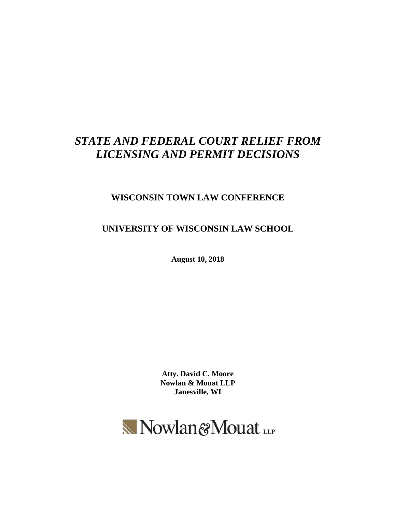# *STATE AND FEDERAL COURT RELIEF FROM LICENSING AND PERMIT DECISIONS*

# **WISCONSIN TOWN LAW CONFERENCE**

**UNIVERSITY OF WISCONSIN LAW SCHOOL**

**August 10, 2018**

**Atty. David C. Moore Nowlan & Mouat LLP Janesville, WI**

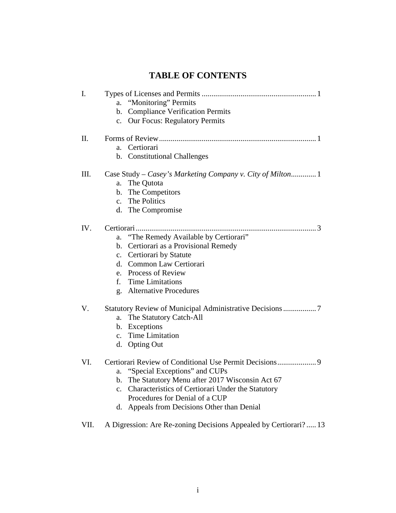# **TABLE OF CONTENTS**

| I.   | "Monitoring" Permits<br>a.<br><b>Compliance Verification Permits</b><br>b.<br><b>Our Focus: Regulatory Permits</b><br>$c_{\cdot}$                                                                                                                    |
|------|------------------------------------------------------------------------------------------------------------------------------------------------------------------------------------------------------------------------------------------------------|
| Π.   | Certiorari<br>a.<br>b. Constitutional Challenges                                                                                                                                                                                                     |
| Ш.   | Case Study – Casey's Marketing Company v. City of Milton 1<br>The Qutota<br>a.<br>b. The Competitors<br>c. The Politics<br>d. The Compromise                                                                                                         |
| IV.  | "The Remedy Available by Certiorari"<br>a.<br>Certiorari as a Provisional Remedy<br>b.<br>Certiorari by Statute<br>c.<br>Common Law Certiorari<br>d.<br>e. Process of Review<br><b>Time Limitations</b><br>f.<br><b>Alternative Procedures</b><br>g. |
| V.   | The Statutory Catch-All<br>a.<br>b. Exceptions<br>c. Time Limitation<br>d. Opting Out                                                                                                                                                                |
| VI.  | a. "Special Exceptions" and CUPs<br>The Statutory Menu after 2017 Wisconsin Act 67<br>Characteristics of Certiorari Under the Statutory<br>$\mathbf{c}$ .<br>Procedures for Denial of a CUP<br>Appeals from Decisions Other than Denial<br>d.        |
| VII. | A Digression: Are Re-zoning Decisions Appealed by Certiorari?  13                                                                                                                                                                                    |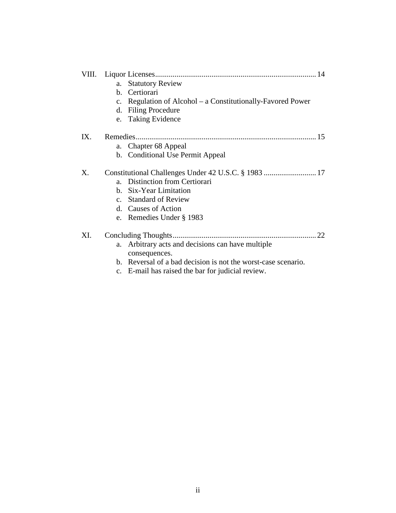|     | <b>Statutory Review</b><br>a.                                             |
|-----|---------------------------------------------------------------------------|
|     | b. Certiorari                                                             |
|     | Regulation of Alcohol – a Constitutionally-Favored Power<br>$C_{\bullet}$ |
|     | d. Filing Procedure                                                       |
|     | e. Taking Evidence                                                        |
| IX. |                                                                           |
|     | Chapter 68 Appeal<br>a.                                                   |
|     | b. Conditional Use Permit Appeal                                          |
| Χ.  |                                                                           |
|     | <b>Distinction from Certiorari</b><br>a <sub>z</sub>                      |
|     | b. Six-Year Limitation                                                    |
|     | <b>Standard of Review</b><br>$c_{\cdot}$                                  |
|     | d. Causes of Action                                                       |
|     | e. Remedies Under § 1983                                                  |
| XI. | .22                                                                       |
|     | Arbitrary acts and decisions can have multiple<br>a.<br>consequences.     |
|     | b. Reversal of a bad decision is not the worst-case scenario.             |
|     | c. E-mail has raised the bar for judicial review.                         |
|     |                                                                           |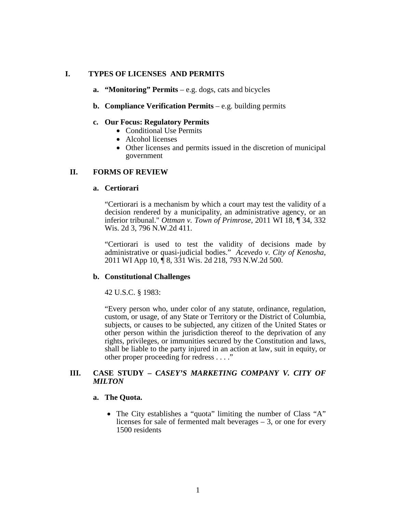# **I. TYPES OF LICENSES AND PERMITS**

#### **a. "Monitoring" Permits** – e.g. dogs, cats and bicycles

#### **b. Compliance Verification Permits** – e.g. building permits

#### **c. Our Focus: Regulatory Permits**

- Conditional Use Permits
- Alcohol licenses
- Other licenses and permits issued in the discretion of municipal government

#### **II. FORMS OF REVIEW**

#### **a. Certiorari**

"Certiorari is a mechanism by which a court may test the validity of a decision rendered by a municipality, an administrative agency, or an inferior tribunal." *Ottman v. Town of Primrose*, 2011 WI 18, ¶ 34, 332 Wis. 2d 3, 796 N.W.2d 411.

"Certiorari is used to test the validity of decisions made by administrative or quasi-judicial bodies." *Acevedo v. City of Kenosha*, 2011 WI App 10, ¶ 8, 331 Wis. 2d 218, 793 N.W.2d 500.

#### **b. Constitutional Challenges**

42 U.S.C. § 1983:

"Every person who, under color of any statute, ordinance, regulation, custom, or usage, of any State or Territory or the District of Columbia, subjects, or causes to be subjected, any citizen of the United States or other person within the jurisdiction thereof to the deprivation of any rights, privileges, or immunities secured by the Constitution and laws, shall be liable to the party injured in an action at law, suit in equity, or other proper proceeding for redress . . . ."

# **III. CASE STUDY –** *CASEY'S MARKETING COMPANY V. CITY OF MILTON*

#### **a. The Quota.**

• The City establishes a "quota" limiting the number of Class "A" licenses for sale of fermented malt beverages – 3, or one for every 1500 residents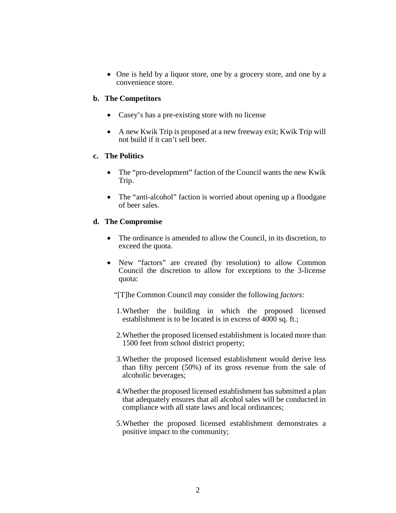• One is held by a liquor store, one by a grocery store, and one by a convenience store.

# **b. The Competitors**

- Casey's has a pre-existing store with no license
- A new Kwik Trip is proposed at a new freeway exit; Kwik Trip will not build if it can't sell beer.

#### **c. The Politics**

- The "pro-development" faction of the Council wants the new Kwik Trip.
- The "anti-alcohol" faction is worried about opening up a floodgate of beer sales.

# **d. The Compromise**

- The ordinance is amended to allow the Council, in its discretion, to exceed the quota.
- New "factors" are created (by resolution) to allow Common Council the discretion to allow for exceptions to the 3-license quota:

"[T]he Common Council *may* consider the following *factors*:

- 1.Whether the building in which the proposed licensed establishment is to be located is in excess of 4000 sq. ft.;
- 2.Whether the proposed licensed establishment is located more than 1500 feet from school district property;
- 3.Whether the proposed licensed establishment would derive less than fifty percent (50%) of its gross revenue from the sale of alcoholic beverages;
- 4.Whether the proposed licensed establishment has submitted a plan that adequately ensures that all alcohol sales will be conducted in compliance with all state laws and local ordinances;
- 5.Whether the proposed licensed establishment demonstrates a positive impact to the community;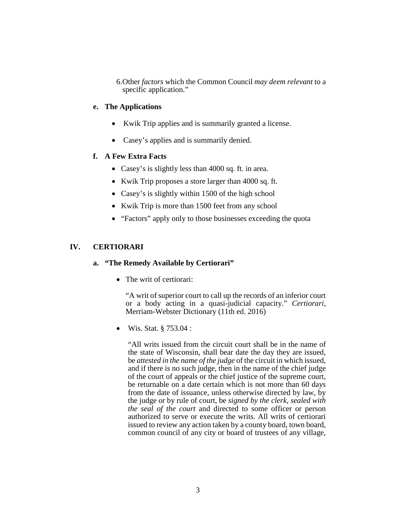6.Other *factors* which the Common Council *may deem relevant* to a specific application."

# **e. The Applications**

- Kwik Trip applies and is summarily granted a license.
- Casey's applies and is summarily denied.

# **f. A Few Extra Facts**

- Casey's is slightly less than 4000 sq. ft. in area.
- Kwik Trip proposes a store larger than 4000 sq. ft.
- Casey's is slightly within 1500 of the high school
- Kwik Trip is more than 1500 feet from any school
- "Factors" apply only to those businesses exceeding the quota

# **IV. CERTIORARI**

# **a. "The Remedy Available by Certiorari"**

• The writ of certiorari:

"A writ of superior court to call up the records of an inferior court or a body acting in a quasi-judicial capacity." *Certiorari,*  Merriam-Webster Dictionary (11th ed. 2016)

• Wis. Stat. § 753.04 :

"All writs issued from the circuit court shall be in the name of the state of Wisconsin, shall bear date the day they are issued, be *attested in the name of the judge* of the circuit in which issued, and if there is no such judge, then in the name of the chief judge of the court of appeals or the chief justice of the supreme court, be returnable on a date certain which is not more than 60 days from the date of issuance, unless otherwise directed by law, by the judge or by rule of court, be *signed by the clerk*, *sealed with the seal of the court* and directed to some officer or person authorized to serve or execute the writs. All writs of certiorari issued to review any action taken by a county board, town board, common council of any city or board of trustees of any village,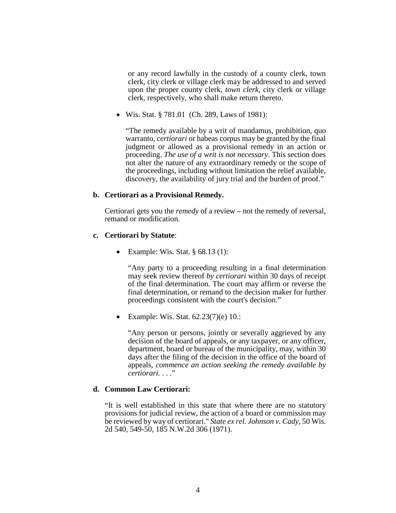or any record lawfully in the custody of a county clerk, town clerk, city clerk or village clerk may be addressed to and served upon the proper county clerk, *town clerk*, city clerk or village clerk, respectively, who shall make return thereto.

• Wis. Stat. § 781.01 (Ch. 289, Laws of 1981):

"The remedy available by a writ of mandamus, prohibition, quo warranto, *certiorari* or habeas corpus may be granted by the final judgment or allowed as a provisional remedy in an action or proceeding. *The use of a writ is not necessary*. This section does not alter the nature of any extraordinary remedy or the scope of the proceedings, including without limitation the relief available, discovery, the availability of jury trial and the burden of proof."

#### **b. Certiorari as a Provisional Remedy.**

Certiorari gets you the *remedy* of a review – not the remedy of reversal, remand or modification.

#### **c. Certiorari by Statute**:

• Example: Wis. Stat.  $\S 68.13(1)$ :

"Any party to a proceeding resulting in a final determination may seek review thereof *by certiorari* within 30 days of receipt of the final determination. The court may affirm or reverse the final determination, or remand to the decision maker for further proceedings consistent with the court's decision."

• Example: Wis. Stat. 62.23(7)(e) 10.:

"Any person or persons, jointly or severally aggrieved by any decision of the board of appeals, or any taxpayer, or any officer, department, board or bureau of the municipality, may, within 30 days after the filing of the decision in the office of the board of appeals, *commence an action seeking the remedy available by certiorari.* . . ."

#### **d. Common Law Certiorari:**

"It is well established in this state that where there are no statutory provisions for judicial review, the action of a board or commission may be reviewed by way of certiorari." *State ex rel. Johnson v. Cady*, 50 Wis. 2d 540, 549-50, 185 N.W.2d 306 (1971).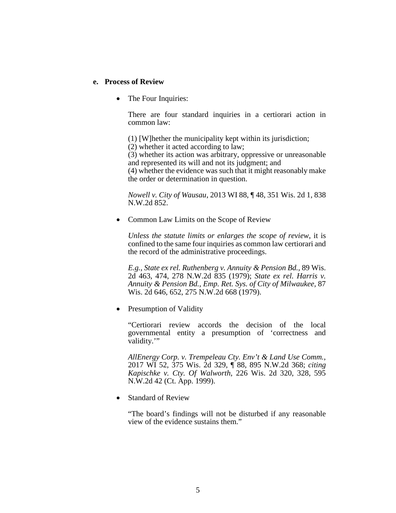#### **e. Process of Review**

• The Four Inquiries:

There are four standard inquiries in a certiorari action in common law:

(1) [W]hether the municipality kept within its jurisdiction; (2) whether it acted according to law;

(3) whether its action was arbitrary, oppressive or unreasonable and represented its will and not its judgment; and

(4) whether the evidence was such that it might reasonably make the order or determination in question.

*Nowell v. City of Wausau*, 2013 WI 88, ¶ 48, 351 Wis. 2d 1, 838 N.W.2d 852.

• Common Law Limits on the Scope of Review

*Unless the statute limits or enlarges the scope of review*, it is confined to the same four inquiries as common law certiorari and the record of the administrative proceedings.

*E.g.*, *State ex rel. Ruthenberg v. Annuity & Pension Bd.,* 89 Wis. 2d 463, 474, 278 N.W.2d 835 (1979); *State ex rel. Harris v. Annuity & Pension Bd., Emp. Ret. Sys. of City of Milwaukee,* 87 Wis. 2d 646, 652, 275 N.W.2d 668 (1979).

• Presumption of Validity

"Certiorari review accords the decision of the local governmental entity a presumption of 'correctness and validity."

*AllEnergy Corp. v. Trempeleau Cty. Env't & Land Use Comm.*, 2017 WI 52, 375 Wis. 2d 329, ¶ 88, 895 N.W.2d 368; *citing Kapischke v. Cty. Of Walworth*, 226 Wis. 2d 320, 328, 595 N.W.2d 42 (Ct. App. 1999).

• Standard of Review

"The board's findings will not be disturbed if any reasonable view of the evidence sustains them."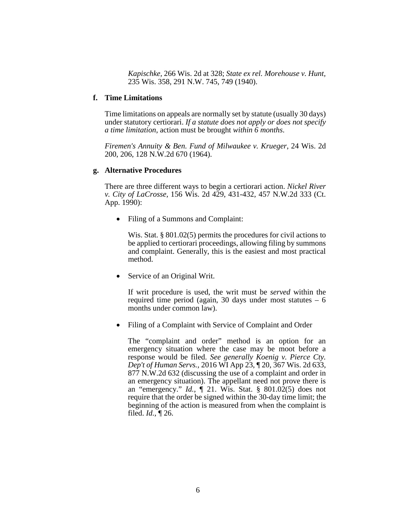*Kapischke,* 266 Wis. 2d at 328; *State ex rel. Morehouse v. Hunt,*  235 Wis. 358, 291 N.W. 745, 749 (1940).

#### **f. Time Limitations**

Time limitations on appeals are normally set by statute (usually 30 days) under statutory certiorari. *If a statute does not apply or does not specify a time limitation*, action must be brought *within 6 months*.

*Firemen's Annuity & Ben. Fund of Milwaukee v. Krueger*, 24 Wis. 2d 200, 206, 128 N.W.2d 670 (1964).

#### **g. Alternative Procedures**

There are three different ways to begin a certiorari action. *Nickel River v. City of LaCrosse,* 156 Wis. 2d 429, 431-432, 457 N.W.2d 333 (Ct. App. 1990):

• Filing of a Summons and Complaint:

Wis. Stat. § 801.02(5) permits the procedures for civil actions to be applied to certiorari proceedings, allowing filing by summons and complaint. Generally, this is the easiest and most practical method.

Service of an Original Writ.

If writ procedure is used, the writ must be *served* within the required time period (again, 30 days under most statutes  $-6$ ) months under common law).

• Filing of a Complaint with Service of Complaint and Order

The "complaint and order" method is an option for an emergency situation where the case may be moot before a response would be filed. *See generally Koenig v. Pierce Cty. Dep't of Human Servs.,* 2016 WI App 23, ¶ 20, 367 Wis. 2d 633, 877 N.W.2d 632 (discussing the use of a complaint and order in an emergency situation). The appellant need not prove there is an "emergency." *Id.,* ¶ 21. Wis. Stat. § 801.02(5) does not require that the order be signed within the 30-day time limit; the beginning of the action is measured from when the complaint is filed. *Id.,* ¶ 26.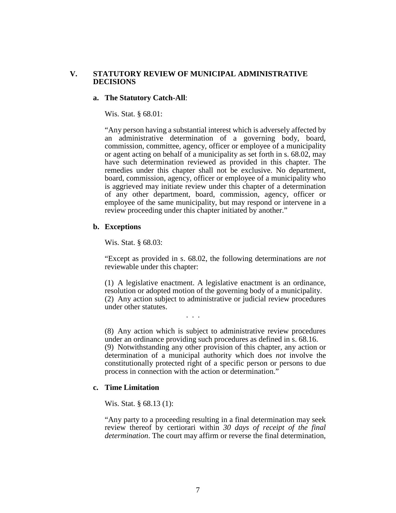# **V. STATUTORY REVIEW OF MUNICIPAL ADMINISTRATIVE DECISIONS**

#### **a. The Statutory Catch-All**:

Wis. Stat. § 68.01:

"Any person having a substantial interest which is adversely affected by an administrative determination of a governing body, board, commission, committee, agency, officer or employee of a municipality or agent acting on behalf of a municipality as set forth in s. 68.02, may have such determination reviewed as provided in this chapter. The remedies under this chapter shall not be exclusive. No department, board, commission, agency, officer or employee of a municipality who is aggrieved may initiate review under this chapter of a determination of any other department, board, commission, agency, officer or employee of the same municipality, but may respond or intervene in a review proceeding under this chapter initiated by another."

#### **b. Exceptions**

Wis. Stat. § 68.03:

"Except as provided in s. 68.02, the following determinations are *not* reviewable under this chapter:

(1) A legislative enactment. A legislative enactment is an ordinance, resolution or adopted motion of the governing body of a municipality. (2) Any action subject to administrative or judicial review procedures under other statutes.

. . .

(8) Any action which is subject to administrative review procedures under an ordinance providing such procedures as defined in s. 68.16. (9) Notwithstanding any other provision of this chapter, any action or determination of a municipal authority which does *not* involve the constitutionally protected right of a specific person or persons to due process in connection with the action or determination."

#### **c. Time Limitation**

Wis. Stat. § 68.13 (1):

"Any party to a proceeding resulting in a final determination may seek review thereof by certiorari within *30 days of receipt of the final determination*. The court may affirm or reverse the final determination,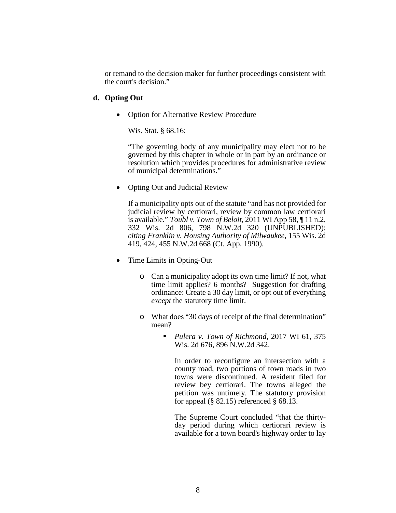or remand to the decision maker for further proceedings consistent with the court's decision."

# **d. Opting Out**

• Option for Alternative Review Procedure

Wis. Stat. § 68.16:

"The governing body of any municipality may elect not to be governed by this chapter in whole or in part by an ordinance or resolution which provides procedures for administrative review of municipal determinations."

• Opting Out and Judicial Review

If a municipality opts out of the statute "and has not provided for judicial review by certiorari, review by common law certiorari is available." *Toubl v. Town of Beloit,* 2011 WI App 58, ¶ 11 n.2, 332 Wis. 2d 806, 798 N.W.2d 320 (UNPUBLISHED); *citing Franklin v. Housing Authority of Milwaukee,* 155 Wis. 2d 419, 424, 455 N.W.2d 668 (Ct. App. 1990).

- Time Limits in Opting-Out
	- o Can a municipality adopt its own time limit? If not, what time limit applies? 6 months? Suggestion for drafting ordinance: Create a 30 day limit, or opt out of everything *except* the statutory time limit.
	- o What does "30 days of receipt of the final determination" mean?
		- *Pulera v. Town of Richmond,* 2017 WI 61, 375 Wis. 2d 676, 896 N.W.2d 342.

In order to reconfigure an intersection with a county road, two portions of town roads in two towns were discontinued. A resident filed for review bey certiorari. The towns alleged the petition was untimely. The statutory provision for appeal  $(\S$  82.15) referenced  $\S$  68.13.

The Supreme Court concluded "that the thirtyday period during which certiorari review is available for a town board's highway order to lay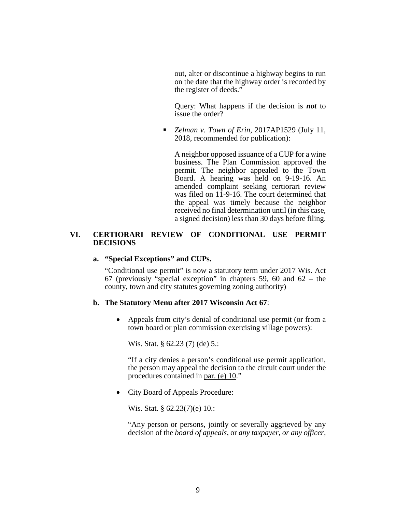out, alter or discontinue a highway begins to run on the date that the highway order is recorded by the register of deeds."

Query: What happens if the decision is *not* to issue the order?

 *Zelman v. Town of Erin*, 2017AP1529 (July 11, 2018, recommended for publication):

A neighbor opposed issuance of a CUP for a wine business. The Plan Commission approved the permit. The neighbor appealed to the Town Board. A hearing was held on 9-19-16. An amended complaint seeking certiorari review was filed on 11-9-16. The court determined that the appeal was timely because the neighbor received no final determination until (in this case, a signed decision) less than 30 days before filing.

#### **VI. CERTIORARI REVIEW OF CONDITIONAL USE PERMIT DECISIONS**

#### **a. "Special Exceptions" and CUPs.**

"Conditional use permit" is now a statutory term under 2017 Wis. Act 67 (previously "special exception" in chapters 59, 60 and 62 – the county, town and city statutes governing zoning authority)

#### **b. The Statutory Menu after 2017 Wisconsin Act 67**:

• Appeals from city's denial of conditional use permit (or from a town board or plan commission exercising village powers):

Wis. Stat. § 62.23 (7) (de) 5.:

"If a city denies a person's conditional use permit application, the person may appeal the decision to the circuit court under the procedures contained in par. (e) 10."

• City Board of Appeals Procedure:

Wis. Stat. § 62.23(7)(e) 10.:

"Any person or persons, jointly or severally aggrieved by any decision of the *board of appeals*, or *any taxpayer*, *or any officer,*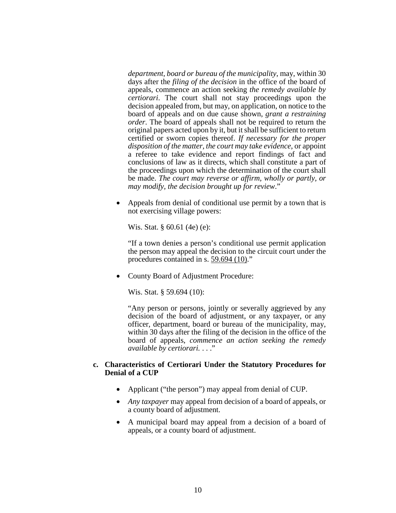*department, board or bureau of the municipality*, may, within 30 days after the *filing of the decision* in the office of the board of appeals, commence an action seeking *the remedy available by certiorari*. The court shall not stay proceedings upon the decision appealed from, but may, on application, on notice to the board of appeals and on due cause shown, *grant a restraining order*. The board of appeals shall not be required to return the original papers acted upon by it, but it shall be sufficient to return certified or sworn copies thereof. *If necessary for the proper disposition of the matter, the court may take evidence*, or appoint a referee to take evidence and report findings of fact and conclusions of law as it directs, which shall constitute a part of the proceedings upon which the determination of the court shall be made. *The court may reverse or affirm, wholly or partly, or may modify, the decision brought up for review*."

• Appeals from denial of conditional use permit by a town that is not exercising village powers:

Wis. Stat. § 60.61 (4e) (e):

"If a town denies a person's conditional use permit application the person may appeal the decision to the circuit court under the procedures contained in s. 59.694 (10)."

• County Board of Adjustment Procedure:

Wis. Stat. § 59.694 (10):

"Any person or persons, jointly or severally aggrieved by any decision of the board of adjustment, or any taxpayer, or any officer, department, board or bureau of the municipality, may, within 30 days after the filing of the decision in the office of the board of appeals, *commence an action seeking the remedy available by certiorari.* . . ."

#### **c. Characteristics of Certiorari Under the Statutory Procedures for Denial of a CUP**

- Applicant ("the person") may appeal from denial of CUP.
- *Any taxpayer* may appeal from decision of a board of appeals, or a county board of adjustment.
- A municipal board may appeal from a decision of a board of appeals, or a county board of adjustment.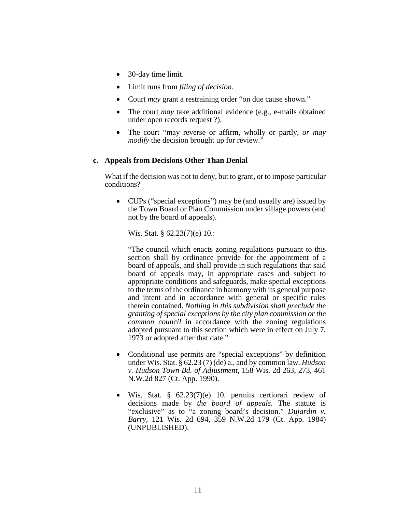- 30-day time limit.
- Limit runs from *filing of decision*.
- Court *may* grant a restraining order "on due cause shown."
- The court *may* take additional evidence (e.g., e-mails obtained under open records request ?).
- The court "may reverse or affirm, wholly or partly, *or may modify* the decision brought up for review."

# **c. Appeals from Decisions Other Than Denial**

What if the decision was not to deny, but to grant, or to impose particular conditions?

• CUPs ("special exceptions") may be (and usually are) issued by the Town Board or Plan Commission under village powers (and not by the board of appeals).

Wis. Stat. § 62.23(7)(e) 10.:

"The council which enacts zoning regulations pursuant to this section shall by ordinance provide for the appointment of a board of appeals, and shall provide in such regulations that said board of appeals may, in appropriate cases and subject to appropriate conditions and safeguards, make special exceptions to the terms of the ordinance in harmony with its general purpose and intent and in accordance with general or specific rules therein contained. *Nothing in this subdivision shall preclude the granting of special exceptions by the city plan commission or the common council* in accordance with the zoning regulations adopted pursuant to this section which were in effect on July 7, 1973 or adopted after that date."

- Conditional use permits are "special exceptions" by definition under Wis. Stat. § 62.23 (7) (de) a., and by common law. *Hudson v. Hudson Town Bd. of Adjustment*, 158 Wis. 2d 263, 273, 461 N.W.2d 827 (Ct. App. 1990).
- Wis. Stat. § 62.23(7)(e) 10. permits certiorari review of decisions made by *the board of appeals*. The statute is "exclusive" as to "a zoning board's decision." *Dujardin v. Barry*, 121 Wis. 2d 694, 359 N.W.2d 179 (Ct. App. 1984) (UNPUBLISHED).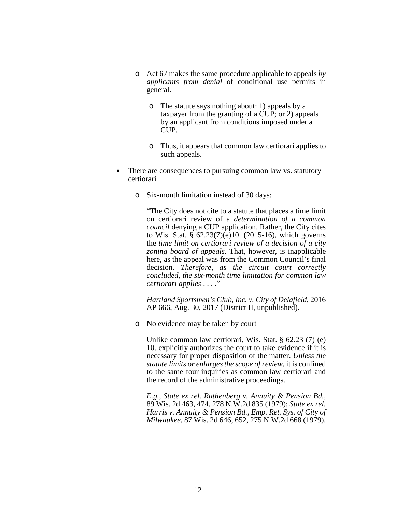- o Act 67 makes the same procedure applicable to appeals *by applicants from denial* of conditional use permits in general.
	- o The statute says nothing about: 1) appeals by a taxpayer from the granting of a CUP; or 2) appeals by an applicant from conditions imposed under a CUP.
	- o Thus, it appears that common law certiorari applies to such appeals.
- There are consequences to pursuing common law vs. statutory certiorari
	- o Six-month limitation instead of 30 days:

"The City does not cite to a statute that places a time limit on certiorari review of a *determination of a common council* denying a CUP application. Rather, the City cites to Wis. Stat.  $\frac{8}{9}$  62.23(7)(e)10. (2015-16), which governs the *time limit on certiorari review of a decision of a city zoning board of appeals*. That, however, is inapplicable here, as the appeal was from the Common Council's final decision. *Therefore, as the circuit court correctly concluded, the six-month time limitation for common law certiorari applies* . . . ."

*Hartland Sportsmen's Club, Inc. v. City of Delafield,* 2016 AP 666, Aug. 30, 2017 (District II, unpublished).

o No evidence may be taken by court

Unlike common law certiorari, Wis. Stat. § 62.23 (7) (e) 10. explicitly authorizes the court to take evidence if it is necessary for proper disposition of the matter. *Unless the statute limits or enlarges the scope of review*, it is confined to the same four inquiries as common law certiorari and the record of the administrative proceedings.

*E.g.*, *State ex rel. Ruthenberg v. Annuity & Pension Bd.,* 89 Wis. 2d 463, 474, 278 N.W.2d 835 (1979); *State ex rel. Harris v. Annuity & Pension Bd., Emp. Ret. Sys. of City of Milwaukee,* 87 Wis. 2d 646, 652, 275 N.W.2d 668 (1979).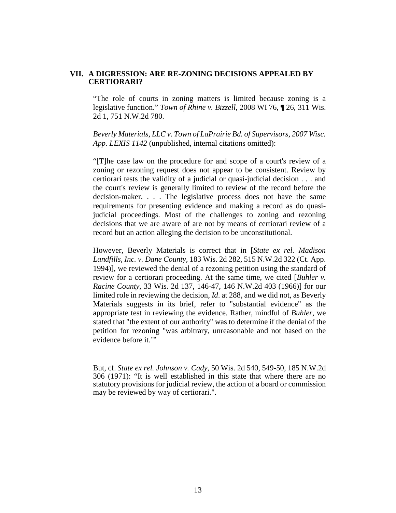# **VII. A DIGRESSION: ARE RE-ZONING DECISIONS APPEALED BY CERTIORARI?**

"The role of courts in zoning matters is limited because zoning is a legislative function." *Town of Rhine v. Bizzell*, 2008 WI 76, ¶ 26, 311 Wis. 2d 1, 751 N.W.2d 780.

*Beverly Materials, LLC v. Town of LaPrairie Bd. of Supervisors, 2007 Wisc. App. LEXIS 1142* (unpublished, internal citations omitted):

"[T]he case law on the procedure for and scope of a court's review of a zoning or rezoning request does not appear to be consistent. Review by certiorari tests the validity of a judicial or quasi-judicial decision . . . and the court's review is generally limited to review of the record before the decision-maker. . . . The legislative process does not have the same requirements for presenting evidence and making a record as do quasijudicial proceedings. Most of the challenges to zoning and rezoning decisions that we are aware of are not by means of certiorari review of a record but an action alleging the decision to be unconstitutional.

However, Beverly Materials is correct that in [*State ex rel. Madison Landfills, Inc. v. Dane County,* 183 Wis. 2d 282, 515 N.W.2d 322 (Ct. App. 1994)], we reviewed the denial of a rezoning petition using the standard of review for a certiorari proceeding. At the same time, we cited [*Buhler v. Racine County*, 33 Wis. 2d 137, 146-47, 146 N.W.2d 403 (1966)] for our limited role in reviewing the decision, *Id*. at 288, and we did not, as Beverly Materials suggests in its brief, refer to "substantial evidence" as the appropriate test in reviewing the evidence. Rather, mindful of *Buhler*, we stated that "the extent of our authority" was to determine if the denial of the petition for rezoning "was arbitrary, unreasonable and not based on the evidence before it.'"

But, cf. *State ex rel. Johnson v. Cady*, 50 Wis. 2d 540, 549-50, 185 N.W.2d 306 (1971): "It is well established in this state that where there are no statutory provisions for judicial review, the action of a board or commission may be reviewed by way of certiorari.".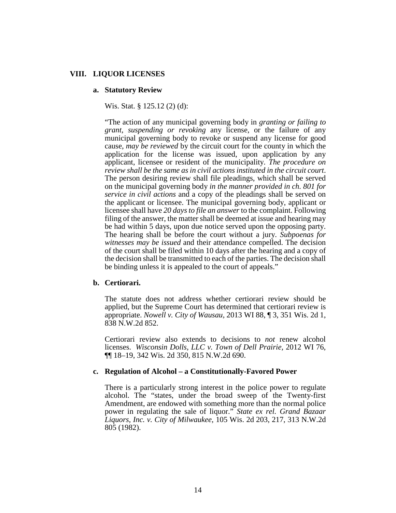#### **VIII. LIQUOR LICENSES**

#### **a. Statutory Review**

Wis. Stat. § 125.12 (2) (d):

"The action of any municipal governing body in *granting or failing to grant, suspending or revoking* any license, or the failure of any municipal governing body to revoke or suspend any license for good cause, *may be reviewed* by the circuit court for the county in which the application for the license was issued, upon application by any applicant, licensee or resident of the municipality. *The procedure on review shall be the same as in civil actions instituted in the circuit court*. The person desiring review shall file pleadings, which shall be served on the municipal governing body *in the manner provided in ch. 801 for service in civil actions* and a copy of the pleadings shall be served on the applicant or licensee. The municipal governing body, applicant or licensee shall have *20 days to file an answer* to the complaint. Following filing of the answer, the matter shall be deemed at issue and hearing may be had within 5 days, upon due notice served upon the opposing party. The hearing shall be before the court without a jury. *Subpoenas for witnesses may be issued* and their attendance compelled. The decision of the court shall be filed within 10 days after the hearing and a copy of the decision shall be transmitted to each of the parties. The decision shall be binding unless it is appealed to the court of appeals."

#### **b. Certiorari.**

The statute does not address whether certiorari review should be applied, but the Supreme Court has determined that certiorari review is appropriate. *Nowell v. City of Wausau,* 2013 WI 88, ¶ 3, 351 Wis. 2d 1, 838 N.W.2d 852.

Certiorari review also extends to decisions to *not* renew alcohol licenses. *Wisconsin Dolls, LLC v. Town of Dell Prairie,* 2012 WI 76, ¶¶ 18–19, 342 Wis. 2d 350, 815 N.W.2d 690.

#### **c. Regulation of Alcohol – a Constitutionally-Favored Power**

There is a particularly strong interest in the police power to regulate alcohol. The "states, under the broad sweep of the Twenty-first Amendment, are endowed with something more than the normal police power in regulating the sale of liquor." *State ex rel. Grand Bazaar Liquors, Inc. v. City of Milwaukee,* 105 Wis. 2d 203, 217, 313 N.W.2d 805 (1982).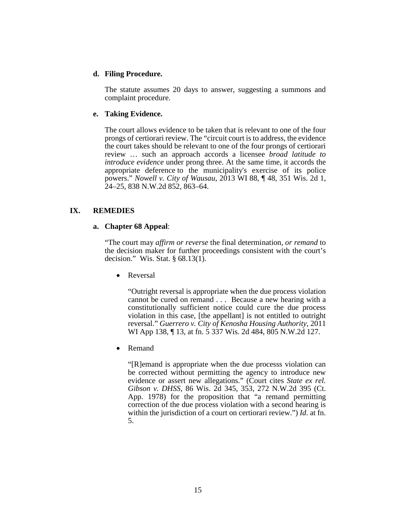# **d. Filing Procedure.**

The statute assumes 20 days to answer, suggesting a summons and complaint procedure.

#### **e. Taking Evidence.**

The court allows evidence to be taken that is relevant to one of the four prongs of certiorari review. The "circuit court is to address, the evidence the court takes should be relevant to one of the four prongs of certiorari review … such an approach accords a licensee *broad latitude to introduce evidence* under prong three. At the same time, it accords the appropriate deference to the municipality's exercise of its police powers." *Nowell v. City of Wausau*, 2013 WI 88, ¶ 48, 351 Wis. 2d 1, 24–25, 838 N.W.2d 852, 863–64.

# **IX. REMEDIES**

# **a. Chapter 68 Appeal**:

"The court may *affirm or reverse* the final determination, *or remand* to the decision maker for further proceedings consistent with the court's decision." Wis. Stat. § 68.13(1).

• Reversal

"Outright reversal is appropriate when the due process violation cannot be cured on remand . . . Because a new hearing with a constitutionally sufficient notice could cure the due process violation in this case, [the appellant] is not entitled to outright reversal." *Guerrero v. City of Kenosha Housing Authority*, 2011 WI App 138, ¶ 13, at fn. 5 337 Wis. 2d 484, 805 N.W.2d 127.

• Remand

"[R]emand is appropriate when the due processs violation can be corrected without permitting the agency to introduce new evidence or assert new allegations." (Court cites *State ex rel. Gibson v. DHSS*, 86 Wis. 2d 345, 353, 272 N.W.2d 395 (Ct. App. 1978) for the proposition that "a remand permitting correction of the due process violation with a second hearing is within the jurisdiction of a court on certiorari review.") *Id*. at fn. 5.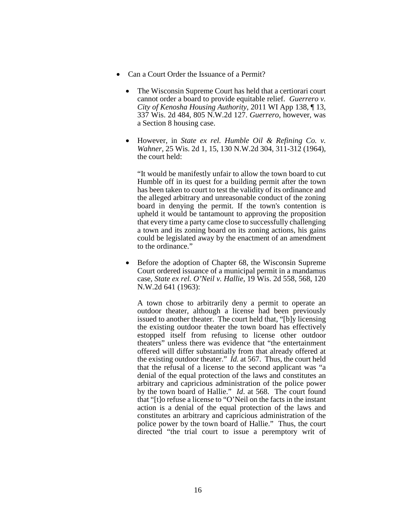- Can a Court Order the Issuance of a Permit?
	- The Wisconsin Supreme Court has held that a certiorari court cannot order a board to provide equitable relief. *Guerrero v. City of Kenosha Housing Authority*, 2011 WI App 138, ¶ 13, 337 Wis. 2d 484, 805 N.W.2d 127. *Guerrero*, however, was a Section 8 housing case.
	- However, in *State ex rel. Humble Oil & Refining Co. v. Wahner*, 25 Wis. 2d 1, 15, 130 N.W.2d 304, 311-312 (1964), the court held:

"It would be manifestly unfair to allow the town board to cut Humble off in its quest for a building permit after the town has been taken to court to test the validity of its ordinance and the alleged arbitrary and unreasonable conduct of the zoning board in denying the permit. If the town's contention is upheld it would be tantamount to approving the proposition that every time a party came close to successfully challenging a town and its zoning board on its zoning actions, his gains could be legislated away by the enactment of an amendment to the ordinance."

• Before the adoption of Chapter 68, the Wisconsin Supreme Court ordered issuance of a municipal permit in a mandamus case, *State ex rel. O'Neil v. Hallie*, 19 Wis. 2d 558, 568, 120 N.W.2d 641 (1963):

A town chose to arbitrarily deny a permit to operate an outdoor theater, although a license had been previously issued to another theater. The court held that, "[b]y licensing the existing outdoor theater the town board has effectively estopped itself from refusing to license other outdoor theaters" unless there was evidence that "the entertainment offered will differ substantially from that already offered at the existing outdoor theater." *Id.* at 567. Thus, the court held that the refusal of a license to the second applicant was "a denial of the equal protection of the laws and constitutes an arbitrary and capricious administration of the police power by the town board of Hallie." *Id*. at 568. The court found that "[t]o refuse a license to "O'Neil on the facts in the instant action is a denial of the equal protection of the laws and constitutes an arbitrary and capricious administration of the police power by the town board of Hallie." Thus, the court directed "the trial court to issue a peremptory writ of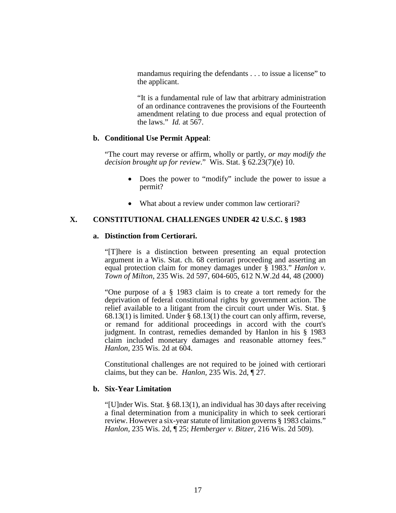mandamus requiring the defendants . . . to issue a license" to the applicant.

"It is a fundamental rule of law that arbitrary administration of an ordinance contravenes the provisions of the Fourteenth amendment relating to due process and equal protection of the laws." *Id.* at 567.

#### **b. Conditional Use Permit Appeal**:

"The court may reverse or affirm, wholly or partly, *or may modify the decision brought up for review*." Wis. Stat. § 62.23(7)(e) 10.

- Does the power to "modify" include the power to issue a permit?
- What about a review under common law certiorari?

#### **X. CONSTITUTIONAL CHALLENGES UNDER 42 U.S.C. § 1983**

#### **a. Distinction from Certiorari.**

"[T]here is a distinction between presenting an equal protection argument in a Wis. Stat. ch. 68 certiorari proceeding and asserting an equal protection claim for money damages under § 1983." *Hanlon v. Town of Milton*, 235 Wis. 2d 597, 604-605, 612 N.W.2d 44, 48 (2000)

"One purpose of a § 1983 claim is to create a tort remedy for the deprivation of federal constitutional rights by government action. The relief available to a litigant from the circuit court under Wis. Stat. § 68.13(1) is limited. Under § 68.13(1) the court can only affirm, reverse, or remand for additional proceedings in accord with the court's judgment. In contrast, remedies demanded by Hanlon in his § 1983 claim included monetary damages and reasonable attorney fees." *Hanlon*, 235 Wis. 2d at 604.

Constitutional challenges are not required to be joined with certiorari claims, but they can be. *Hanlon,* 235 Wis. 2d, ¶ 27.

#### **b. Six-Year Limitation**

"[U]nder Wis. Stat. § 68.13(1), an individual has 30 days after receiving a final determination from a municipality in which to seek certiorari review. However a six-year statute of limitation governs § 1983 claims." *Hanlon,* 235 Wis. 2d, ¶ 25; *Hemberger v. Bitzer,* 216 Wis. 2d 509).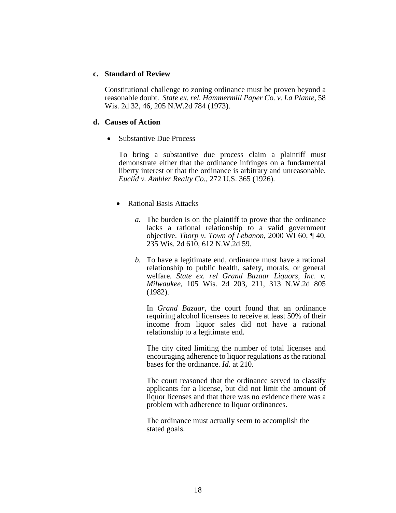#### **c. Standard of Review**

Constitutional challenge to zoning ordinance must be proven beyond a reasonable doubt. *State ex. rel. Hammermill Paper Co. v. La Plante*, 58 Wis. 2d 32, 46, 205 N.W.2d 784 (1973).

#### **d. Causes of Action**

• Substantive Due Process

To bring a substantive due process claim a plaintiff must demonstrate either that the ordinance infringes on a fundamental liberty interest or that the ordinance is arbitrary and unreasonable. *Euclid v. Ambler Realty Co.,* 272 U.S. 365 (1926).

- Rational Basis Attacks
	- *a.* The burden is on the plaintiff to prove that the ordinance lacks a rational relationship to a valid government objective. *Thorp v. Town of Lebanon,* 2000 WI 60, ¶ 40, 235 Wis. 2d 610, 612 N.W.2d 59.
	- *b.* To have a legitimate end, ordinance must have a rational relationship to public health, safety, morals, or general welfare. *State ex. rel Grand Bazaar Liquors, Inc. v. Milwaukee*, 105 Wis. 2d 203, 211, 313 N.W.2d 805 (1982).

In *Grand Bazaar*, the court found that an ordinance requiring alcohol licensees to receive at least 50% of their income from liquor sales did not have a rational relationship to a legitimate end.

The city cited limiting the number of total licenses and encouraging adherence to liquor regulations as the rational bases for the ordinance. *Id.* at 210.

The court reasoned that the ordinance served to classify applicants for a license, but did not limit the amount of liquor licenses and that there was no evidence there was a problem with adherence to liquor ordinances.

The ordinance must actually seem to accomplish the stated goals.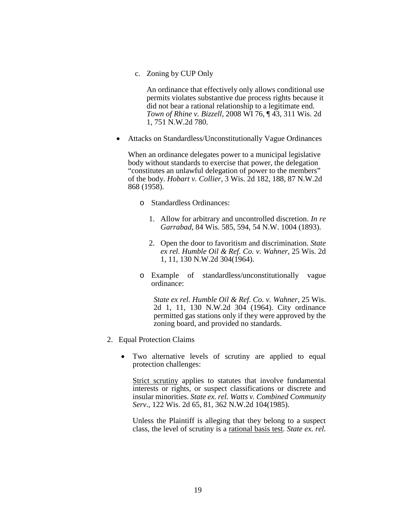c. Zoning by CUP Only

An ordinance that effectively only allows conditional use permits violates substantive due process rights because it did not bear a rational relationship to a legitimate end. *Town of Rhine v. Bizzell,* 2008 WI 76, ¶ 43, 311 Wis. 2d 1, 751 N.W.2d 780.

• Attacks on Standardless/Unconstitutionally Vague Ordinances

When an ordinance delegates power to a municipal legislative body without standards to exercise that power, the delegation "constitutes an unlawful delegation of power to the members" of the body. *Hobart v. Collier,* 3 Wis. 2d 182, 188, 87 N.W.2d 868 (1958).

- o Standardless Ordinances:
	- 1. Allow for arbitrary and uncontrolled discretion. *In re Garrabad*, 84 Wis. 585, 594, 54 N.W. 1004 (1893).
	- 2. Open the door to favoritism and discrimination. *State ex rel. Humble Oil & Ref. Co. v. Wahner,* 25 Wis. 2d 1, 11, 130 N.W.2d 304(1964).
- o Example of standardless/unconstitutionally vague ordinance:

*State ex rel. Humble Oil & Ref. Co. v. Wahner*, 25 Wis. 2d 1, 11, 130 N.W.2d 304 (1964). City ordinance permitted gas stations only if they were approved by the zoning board, and provided no standards.

- 2. Equal Protection Claims
	- Two alternative levels of scrutiny are applied to equal protection challenges:

Strict scrutiny applies to statutes that involve fundamental interests or rights, or suspect classifications or discrete and insular minorities. *State ex. rel. Watts v. Combined Community Serv*., 122 Wis. 2d 65, 81, 362 N.W.2d 104(1985).

Unless the Plaintiff is alleging that they belong to a suspect class, the level of scrutiny is a rational basis test. *State ex. rel.*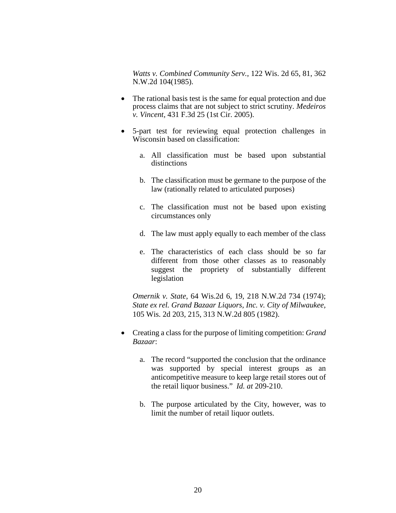*Watts v. Combined Community Serv.*, 122 Wis. 2d 65, 81, 362 N.W.2d 104(1985).

- The rational basis test is the same for equal protection and due process claims that are not subject to strict scrutiny. *Medeiros v. Vincent,* 431 F.3d 25 (1st Cir. 2005).
- 5-part test for reviewing equal protection challenges in Wisconsin based on classification:
	- a. All classification must be based upon substantial distinctions
	- b. The classification must be germane to the purpose of the law (rationally related to articulated purposes)
	- c. The classification must not be based upon existing circumstances only
	- d. The law must apply equally to each member of the class
	- e. The characteristics of each class should be so far different from those other classes as to reasonably suggest the propriety of substantially different legislation

*Omernik v. State*, 64 Wis.2d 6, 19, 218 N.W.2d 734 (1974); *State ex rel. Grand Bazaar Liquors, Inc. v. City of Milwaukee,* 105 Wis. 2d 203, 215, 313 N.W.2d 805 (1982).

- Creating a class for the purpose of limiting competition: *Grand Bazaar*:
	- a. The record "supported the conclusion that the ordinance was supported by special interest groups as an anticompetitive measure to keep large retail stores out of the retail liquor business." *Id. at* 209-210.
	- b. The purpose articulated by the City, however, was to limit the number of retail liquor outlets.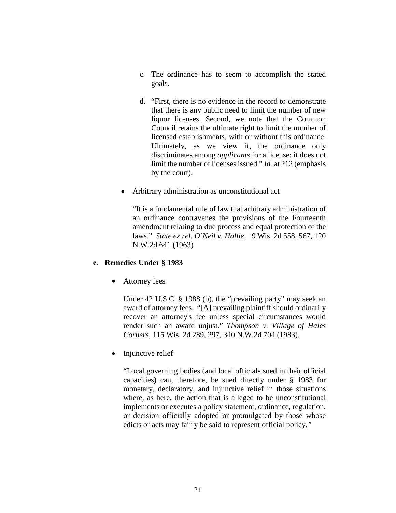- c. The ordinance has to seem to accomplish the stated goals.
- d. "First, there is no evidence in the record to demonstrate that there is any public need to limit the number of new liquor licenses. Second, we note that the Common Council retains the ultimate right to limit the number of licensed establishments, with or without this ordinance. Ultimately, as we view it, the ordinance only discriminates among *applicants* for a license; it does not limit the number of licenses issued." *Id.* at 212 (emphasis by the court).
- Arbitrary administration as unconstitutional act

"It is a fundamental rule of law that arbitrary administration of an ordinance contravenes the provisions of the Fourteenth amendment relating to due process and equal protection of the laws." *State ex rel. O'Neil v. Hallie*, 19 Wis. 2d 558, 567, 120 N.W.2d 641 (1963)

#### **e. Remedies Under § 1983**

• Attorney fees

Under 42 U.S.C. § 1988 (b), the "prevailing party" may seek an award of attorney fees. "[A] prevailing plaintiff should ordinarily recover an attorney's fee unless special circumstances would render such an award unjust." *Thompson v. Village of Hales Corners*, 115 Wis. 2d 289, 297, 340 N.W.2d 704 (1983).

• Injunctive relief

"Local governing bodies (and local officials sued in their official capacities) can, therefore, be sued directly under § 1983 for monetary, declaratory, and injunctive relief in those situations where, as here, the action that is alleged to be unconstitutional implements or executes a policy statement, ordinance, regulation, or decision officially adopted or promulgated by those whose edicts or acts may fairly be said to represent official policy*."*